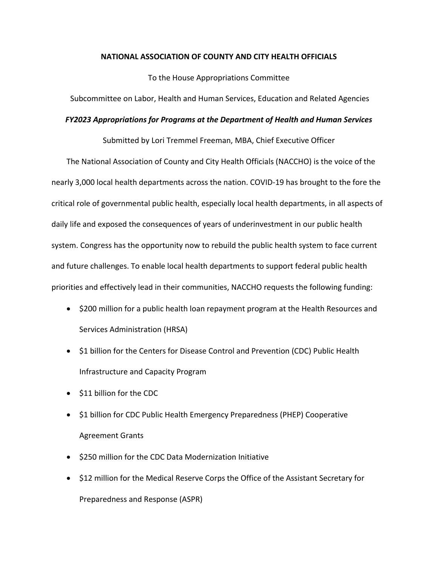# **NATIONAL ASSOCIATION OF COUNTY AND CITY HEALTH OFFICIALS**

To the House Appropriations Committee

Subcommittee on Labor, Health and Human Services, Education and Related Agencies

# *FY2023 Appropriations for Programs at the Department of Health and Human Services*

Submitted by Lori Tremmel Freeman, MBA, Chief Executive Officer

The National Association of County and City Health Officials (NACCHO) is the voice of the nearly 3,000 local health departments across the nation. COVID-19 has brought to the fore the critical role of governmental public health, especially local health departments, in all aspects of daily life and exposed the consequences of years of underinvestment in our public health system. Congress has the opportunity now to rebuild the public health system to face current and future challenges. To enable local health departments to support federal public health priorities and effectively lead in their communities, NACCHO requests the following funding:

- \$200 million for a public health loan repayment program at the Health Resources and Services Administration (HRSA)
- \$1 billion for the Centers for Disease Control and Prevention (CDC) Public Health Infrastructure and Capacity Program
- \$11 billion for the CDC
- \$1 billion for CDC Public Health Emergency Preparedness (PHEP) Cooperative Agreement Grants
- \$250 million for the CDC Data Modernization Initiative
- \$12 million for the Medical Reserve Corps the Office of the Assistant Secretary for Preparedness and Response (ASPR)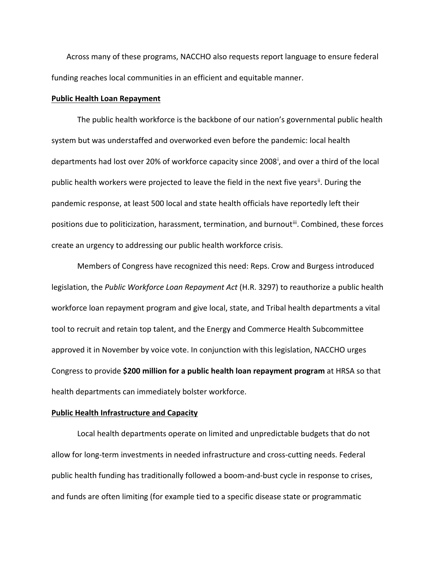Across many of these programs, NACCHO also requests report language to ensure federal funding reaches local communities in an efficient and equitable manner.

### **Public Health Loan Repayment**

The public health workforce is the backbone of our nation's governmental public health system but was understaffed and overworked even before the pandemic: local health departments had lost over 20% of workforce capac[i](#page-4-0)ty since 2008<sup>i</sup>, and over a third of the local public health workers were projected to leave the field in the next five years<sup>[ii](#page-4-1)</sup>. During the pandemic response, at least 500 local and state health officials have reportedly left their positions due to politicization, harassment, termination, and burnoutii. Combined, these forces create an urgency to addressing our public health workforce crisis.

Members of Congress have recognized this need: Reps. Crow and Burgess introduced legislation, the *Public Workforce Loan Repayment Act* (H.R. 3297) to reauthorize a public health workforce loan repayment program and give local, state, and Tribal health departments a vital tool to recruit and retain top talent, and the Energy and Commerce Health Subcommittee approved it in November by voice vote. In conjunction with this legislation, NACCHO urges Congress to provide **\$200 million for a public health loan repayment program** at HRSA so that health departments can immediately bolster workforce.

# **Public Health Infrastructure and Capacity**

Local health departments operate on limited and unpredictable budgets that do not allow for long-term investments in needed infrastructure and cross-cutting needs. Federal public health funding has traditionally followed a boom-and-bust cycle in response to crises, and funds are often limiting (for example tied to a specific disease state or programmatic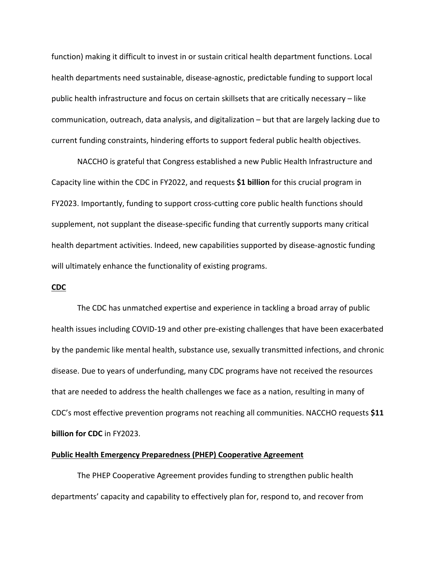function) making it difficult to invest in or sustain critical health department functions. Local health departments need sustainable, disease-agnostic, predictable funding to support local public health infrastructure and focus on certain skillsets that are critically necessary – like communication, outreach, data analysis, and digitalization – but that are largely lacking due to current funding constraints, hindering efforts to support federal public health objectives.

NACCHO is grateful that Congress established a new Public Health Infrastructure and Capacity line within the CDC in FY2022, and requests **\$1 billion** for this crucial program in FY2023. Importantly, funding to support cross-cutting core public health functions should supplement, not supplant the disease-specific funding that currently supports many critical health department activities. Indeed, new capabilities supported by disease-agnostic funding will ultimately enhance the functionality of existing programs.

### **CDC**

The CDC has unmatched expertise and experience in tackling a broad array of public health issues including COVID-19 and other pre-existing challenges that have been exacerbated by the pandemic like mental health, substance use, sexually transmitted infections, and chronic disease. Due to years of underfunding, many CDC programs have not received the resources that are needed to address the health challenges we face as a nation, resulting in many of CDC's most effective prevention programs not reaching all communities. NACCHO requests **\$11 billion for CDC** in FY2023.

#### **Public Health Emergency Preparedness (PHEP) Cooperative Agreement**

The PHEP Cooperative Agreement provides funding to strengthen public health departments' capacity and capability to effectively plan for, respond to, and recover from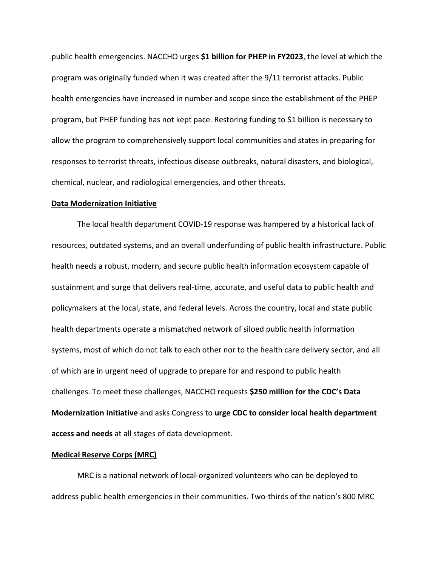public health emergencies. NACCHO urges **\$1 billion for PHEP in FY2023**, the level at which the program was originally funded when it was created after the 9/11 terrorist attacks. Public health emergencies have increased in number and scope since the establishment of the PHEP program, but PHEP funding has not kept pace. Restoring funding to \$1 billion is necessary to allow the program to comprehensively support local communities and states in preparing for responses to terrorist threats, infectious disease outbreaks, natural disasters, and biological, chemical, nuclear, and radiological emergencies, and other threats.

#### **Data Modernization Initiative**

The local health department COVID-19 response was hampered by a historical lack of resources, outdated systems, and an overall underfunding of public health infrastructure. Public health needs a robust, modern, and secure public health information ecosystem capable of sustainment and surge that delivers real-time, accurate, and useful data to public health and policymakers at the local, state, and federal levels. Across the country, local and state public health departments operate a mismatched network of siloed public health information systems, most of which do not talk to each other nor to the health care delivery sector, and all of which are in urgent need of upgrade to prepare for and respond to public health challenges. To meet these challenges, NACCHO requests **\$250 million for the CDC's Data Modernization Initiative** and asks Congress to **urge CDC to consider local health department access and needs** at all stages of data development.

#### **Medical Reserve Corps (MRC)**

MRC is a national network of local-organized volunteers who can be deployed to address public health emergencies in their communities. Two-thirds of the nation's 800 MRC